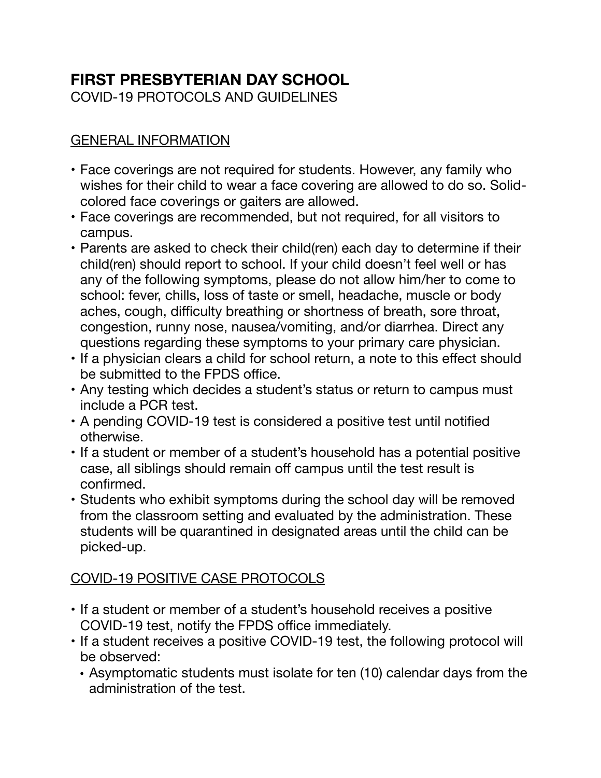# **FIRST PRESBYTERIAN DAY SCHOOL**

COVID-19 PROTOCOLS AND GUIDELINES

### GENERAL INFORMATION

- Face coverings are not required for students. However, any family who wishes for their child to wear a face covering are allowed to do so. Solidcolored face coverings or gaiters are allowed.
- Face coverings are recommended, but not required, for all visitors to campus.
- Parents are asked to check their child(ren) each day to determine if their child(ren) should report to school. If your child doesn't feel well or has any of the following symptoms, please do not allow him/her to come to school: fever, chills, loss of taste or smell, headache, muscle or body aches, cough, difficulty breathing or shortness of breath, sore throat, congestion, runny nose, nausea/vomiting, and/or diarrhea. Direct any questions regarding these symptoms to your primary care physician.
- If a physician clears a child for school return, a note to this effect should be submitted to the FPDS office.
- Any testing which decides a student's status or return to campus must include a PCR test.
- A pending COVID-19 test is considered a positive test until notified otherwise.
- If a student or member of a student's household has a potential positive case, all siblings should remain off campus until the test result is confirmed.
- Students who exhibit symptoms during the school day will be removed from the classroom setting and evaluated by the administration. These students will be quarantined in designated areas until the child can be picked-up.

# COVID-19 POSITIVE CASE PROTOCOLS

- If a student or member of a student's household receives a positive COVID-19 test, notify the FPDS office immediately.
- If a student receives a positive COVID-19 test, the following protocol will be observed:
	- Asymptomatic students must isolate for ten (10) calendar days from the administration of the test.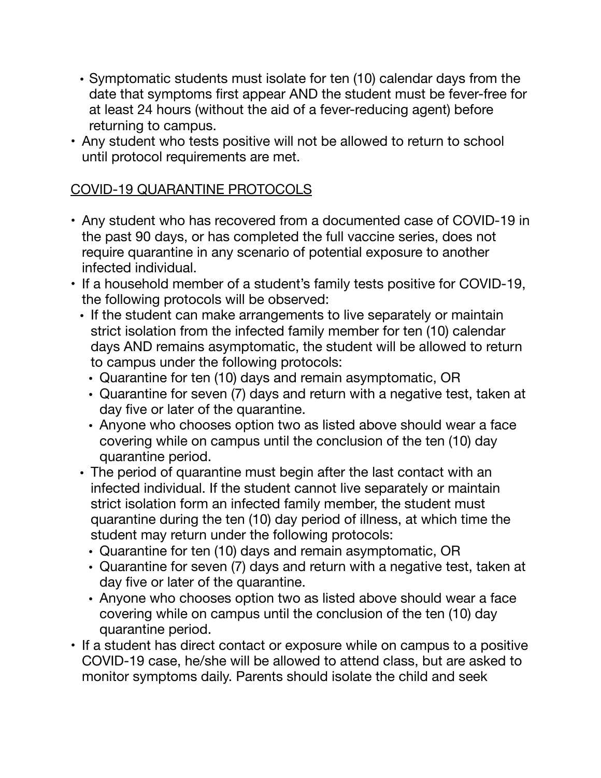- Symptomatic students must isolate for ten (10) calendar days from the date that symptoms first appear AND the student must be fever-free for at least 24 hours (without the aid of a fever-reducing agent) before returning to campus.
- Any student who tests positive will not be allowed to return to school until protocol requirements are met.

# COVID-19 QUARANTINE PROTOCOLS

- Any student who has recovered from a documented case of COVID-19 in the past 90 days, or has completed the full vaccine series, does not require quarantine in any scenario of potential exposure to another infected individual.
- If a household member of a student's family tests positive for COVID-19, the following protocols will be observed:
	- If the student can make arrangements to live separately or maintain strict isolation from the infected family member for ten (10) calendar days AND remains asymptomatic, the student will be allowed to return to campus under the following protocols:
		- Quarantine for ten (10) days and remain asymptomatic, OR
		- Quarantine for seven (7) days and return with a negative test, taken at day five or later of the quarantine.
		- Anyone who chooses option two as listed above should wear a face covering while on campus until the conclusion of the ten (10) day quarantine period.
	- The period of quarantine must begin after the last contact with an infected individual. If the student cannot live separately or maintain strict isolation form an infected family member, the student must quarantine during the ten (10) day period of illness, at which time the student may return under the following protocols:
		- Quarantine for ten (10) days and remain asymptomatic, OR
		- Quarantine for seven (7) days and return with a negative test, taken at day five or later of the quarantine.
		- Anyone who chooses option two as listed above should wear a face covering while on campus until the conclusion of the ten (10) day quarantine period.
- If a student has direct contact or exposure while on campus to a positive COVID-19 case, he/she will be allowed to attend class, but are asked to monitor symptoms daily. Parents should isolate the child and seek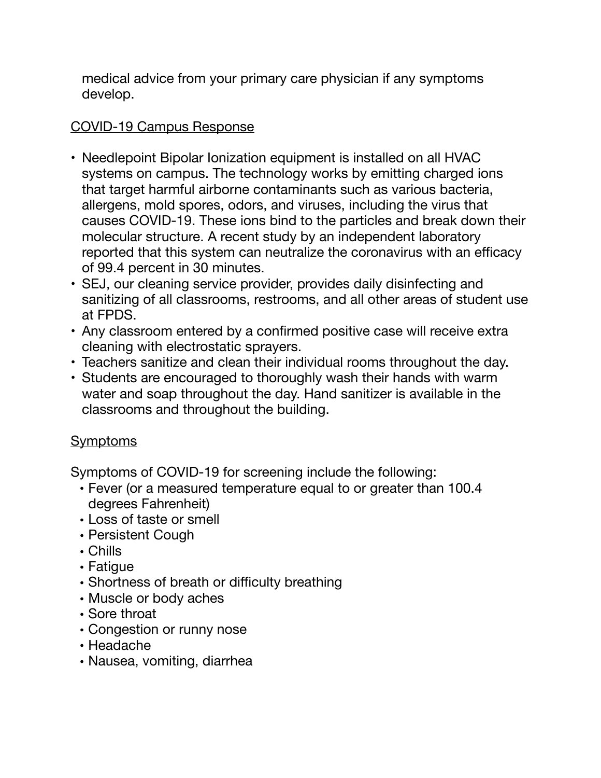medical advice from your primary care physician if any symptoms develop.

# COVID-19 Campus Response

- Needlepoint Bipolar Ionization equipment is installed on all HVAC systems on campus. The technology works by emitting charged ions that target harmful airborne contaminants such as various bacteria, allergens, mold spores, odors, and viruses, including the virus that causes COVID-19. These ions bind to the particles and break down their molecular structure. A recent study by an independent laboratory reported that this system can neutralize the coronavirus with an efficacy of 99.4 percent in 30 minutes.
- SEJ, our cleaning service provider, provides daily disinfecting and sanitizing of all classrooms, restrooms, and all other areas of student use at FPDS.
- Any classroom entered by a confirmed positive case will receive extra cleaning with electrostatic sprayers.
- Teachers sanitize and clean their individual rooms throughout the day.
- Students are encouraged to thoroughly wash their hands with warm water and soap throughout the day. Hand sanitizer is available in the classrooms and throughout the building.

# **Symptoms**

Symptoms of COVID-19 for screening include the following:

- Fever (or a measured temperature equal to or greater than 100.4 degrees Fahrenheit)
- Loss of taste or smell
- Persistent Cough
- Chills
- Fatigue
- Shortness of breath or difficulty breathing
- Muscle or body aches
- Sore throat
- Congestion or runny nose
- Headache
- Nausea, vomiting, diarrhea